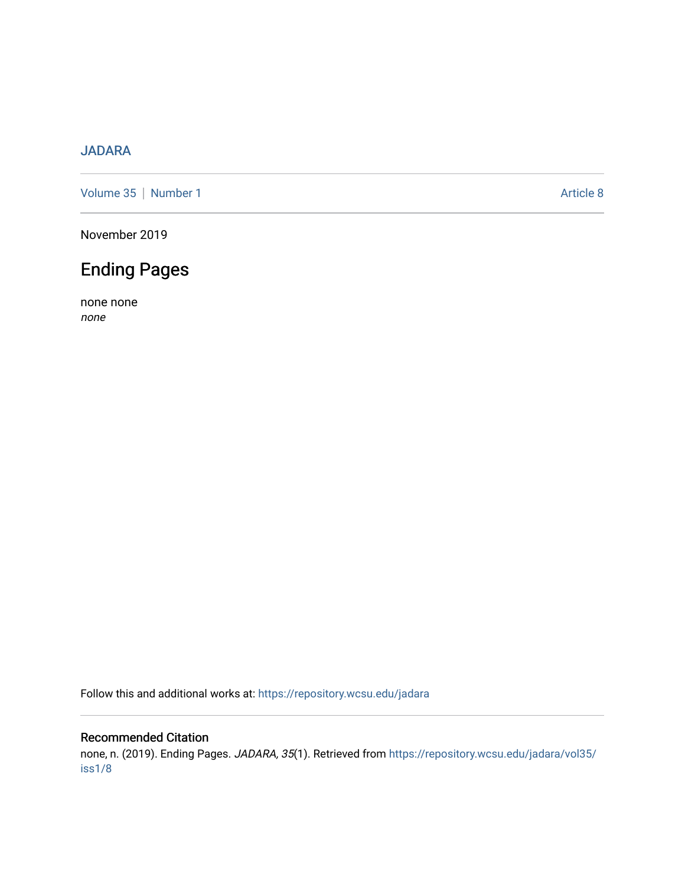## [JADARA](https://repository.wcsu.edu/jadara)

[Volume 35](https://repository.wcsu.edu/jadara/vol35) | [Number 1](https://repository.wcsu.edu/jadara/vol35/iss1) Article 8

November 2019

## Ending Pages

none none none

Follow this and additional works at: [https://repository.wcsu.edu/jadara](https://repository.wcsu.edu/jadara?utm_source=repository.wcsu.edu%2Fjadara%2Fvol35%2Fiss1%2F8&utm_medium=PDF&utm_campaign=PDFCoverPages)

## Recommended Citation

none, n. (2019). Ending Pages. JADARA, 35(1). Retrieved from [https://repository.wcsu.edu/jadara/vol35/](https://repository.wcsu.edu/jadara/vol35/iss1/8?utm_source=repository.wcsu.edu%2Fjadara%2Fvol35%2Fiss1%2F8&utm_medium=PDF&utm_campaign=PDFCoverPages) [iss1/8](https://repository.wcsu.edu/jadara/vol35/iss1/8?utm_source=repository.wcsu.edu%2Fjadara%2Fvol35%2Fiss1%2F8&utm_medium=PDF&utm_campaign=PDFCoverPages)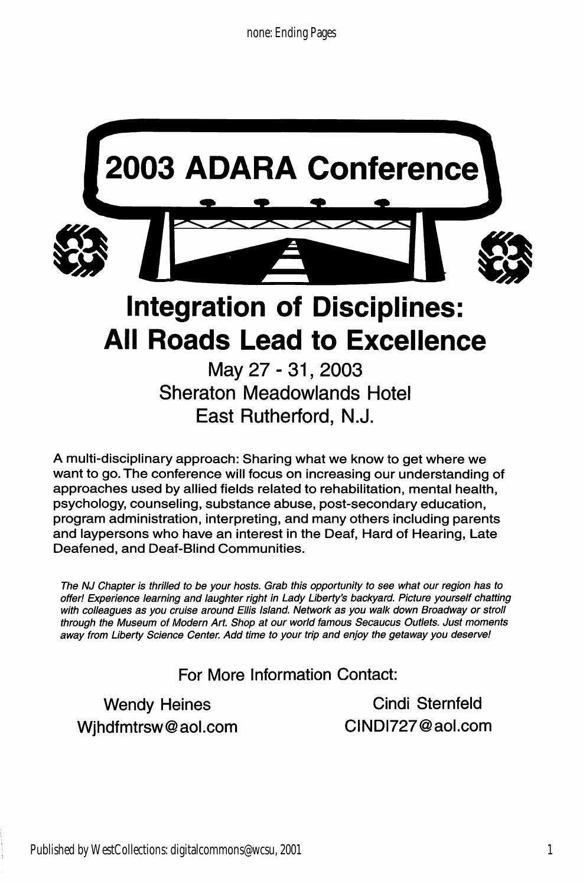

A multi-disciplinary approach: Sharing what we know to get where we

want to go. The conference will focus on increasing our understanding of approaches used by allied fields related to rehabilitation, mental health, psychology, counseling, substance abuse, post-secondary education, program administration, interpreting, and many others including parents and laypersons who have an interest in the Deaf, Hard of Hearing, Late Deafened, and Deaf-Blind Communities.

The NJ Chapter is thrilled to be your hosts. Grab this opportunity to see what our region has to offer! Experience learning and iaughter right in Lady Liberty's backyard. Picture yourseif chatting with colleagues as you cruise around Ellis Island. Network as you walk down Broadway or stroll through the Museum of Modern Art. Shop at our world famous Secaucus Outlets. Just moments away from Liberty Science Center. Add time to your trip and enjoy the getaway you deserve!

For More Information Contact:

Wendy Heines Cindi Sternfeld Wjhdfmtrsw@aol.com CINDI727@aol.com